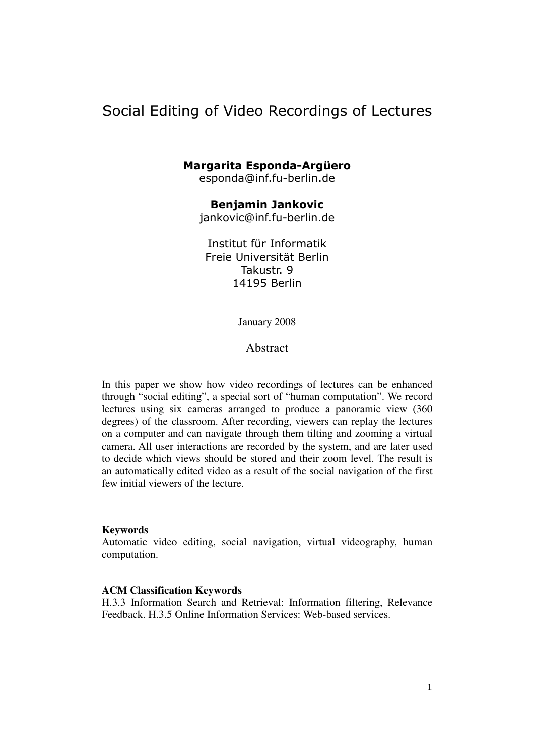# Social Editing of Video Recordings of Lectures

### Margarita Esponda-Argüero

esponda@inf.fu-berlin.de

Benjamin Jankovic jankovic@inf.fu-berlin.de

Institut für Informatik Freie Universität Berlin Takustr. 9 14195 Berlin

January 2008

Abstract

In this paper we show how video recordings of lectures can be enhanced through "social editing", a special sort of "human computation". We record lectures using six cameras arranged to produce a panoramic view (360 degrees) of the classroom. After recording, viewers can replay the lectures on a computer and can navigate through them tilting and zooming a virtual camera. All user interactions are recorded by the system, and are later used to decide which views should be stored and their zoom level. The result is an automatically edited video as a result of the social navigation of the first few initial viewers of the lecture.

#### **Keywords**

Automatic video editing, social navigation, virtual videography, human computation.

#### **ACM Classification Keywords**

H.3.3 Information Search and Retrieval: Information filtering, Relevance Feedback. H.3.5 Online Information Services: Web-based services.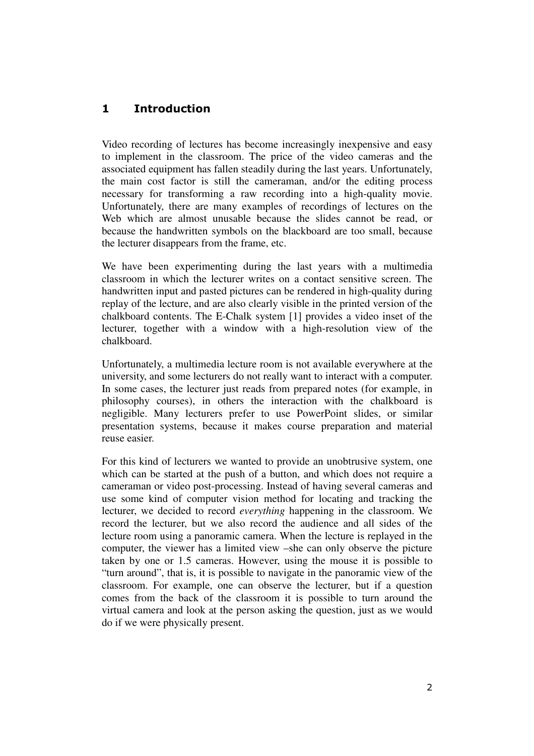# 1 Introduction

Video recording of lectures has become increasingly inexpensive and easy to implement in the classroom. The price of the video cameras and the associated equipment has fallen steadily during the last years. Unfortunately, the main cost factor is still the cameraman, and/or the editing process necessary for transforming a raw recording into a high-quality movie. Unfortunately, there are many examples of recordings of lectures on the Web which are almost unusable because the slides cannot be read, or because the handwritten symbols on the blackboard are too small, because the lecturer disappears from the frame, etc.

We have been experimenting during the last years with a multimedia classroom in which the lecturer writes on a contact sensitive screen. The handwritten input and pasted pictures can be rendered in high-quality during replay of the lecture, and are also clearly visible in the printed version of the chalkboard contents. The E-Chalk system [1] provides a video inset of the lecturer, together with a window with a high-resolution view of the chalkboard.

Unfortunately, a multimedia lecture room is not available everywhere at the university, and some lecturers do not really want to interact with a computer. In some cases, the lecturer just reads from prepared notes (for example, in philosophy courses), in others the interaction with the chalkboard is negligible. Many lecturers prefer to use PowerPoint slides, or similar presentation systems, because it makes course preparation and material reuse easier.

For this kind of lecturers we wanted to provide an unobtrusive system, one which can be started at the push of a button, and which does not require a cameraman or video post-processing. Instead of having several cameras and use some kind of computer vision method for locating and tracking the lecturer, we decided to record *everything* happening in the classroom. We record the lecturer, but we also record the audience and all sides of the lecture room using a panoramic camera. When the lecture is replayed in the computer, the viewer has a limited view –she can only observe the picture taken by one or 1.5 cameras. However, using the mouse it is possible to "turn around", that is, it is possible to navigate in the panoramic view of the classroom. For example, one can observe the lecturer, but if a question comes from the back of the classroom it is possible to turn around the virtual camera and look at the person asking the question, just as we would do if we were physically present.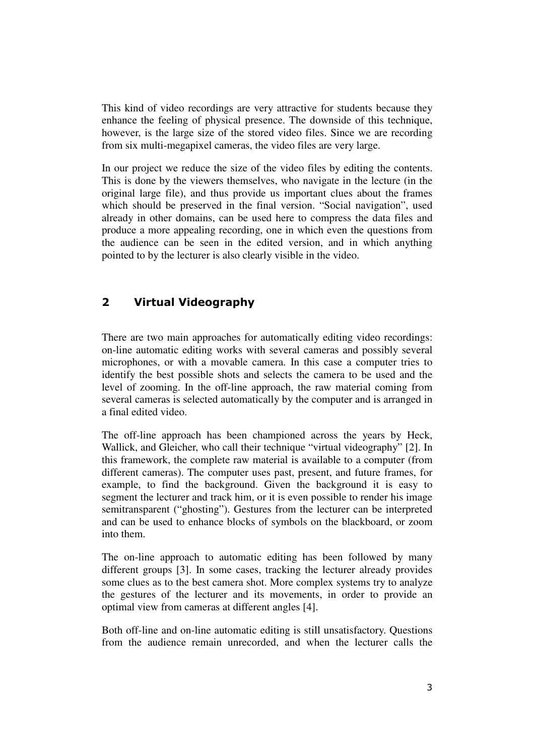This kind of video recordings are very attractive for students because they enhance the feeling of physical presence. The downside of this technique, however, is the large size of the stored video files. Since we are recording from six multi-megapixel cameras, the video files are very large.

In our project we reduce the size of the video files by editing the contents. This is done by the viewers themselves, who navigate in the lecture (in the original large file), and thus provide us important clues about the frames which should be preserved in the final version. "Social navigation", used already in other domains, can be used here to compress the data files and produce a more appealing recording, one in which even the questions from the audience can be seen in the edited version, and in which anything pointed to by the lecturer is also clearly visible in the video.

## 2 Virtual Videography

There are two main approaches for automatically editing video recordings: on-line automatic editing works with several cameras and possibly several microphones, or with a movable camera. In this case a computer tries to identify the best possible shots and selects the camera to be used and the level of zooming. In the off-line approach, the raw material coming from several cameras is selected automatically by the computer and is arranged in a final edited video.

The off-line approach has been championed across the years by Heck, Wallick, and Gleicher, who call their technique "virtual videography" [2]. In this framework, the complete raw material is available to a computer (from different cameras). The computer uses past, present, and future frames, for example, to find the background. Given the background it is easy to segment the lecturer and track him, or it is even possible to render his image semitransparent ("ghosting"). Gestures from the lecturer can be interpreted and can be used to enhance blocks of symbols on the blackboard, or zoom into them.

The on-line approach to automatic editing has been followed by many different groups [3]. In some cases, tracking the lecturer already provides some clues as to the best camera shot. More complex systems try to analyze the gestures of the lecturer and its movements, in order to provide an optimal view from cameras at different angles [4].

Both off-line and on-line automatic editing is still unsatisfactory. Questions from the audience remain unrecorded, and when the lecturer calls the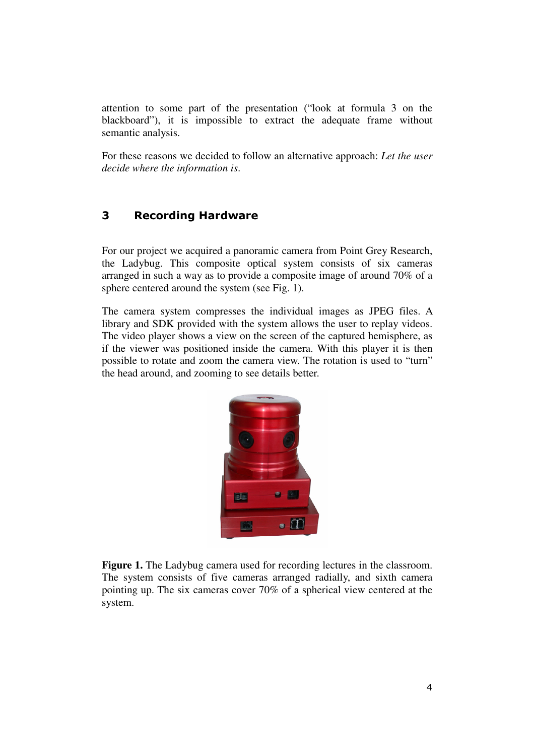attention to some part of the presentation ("look at formula 3 on the blackboard"), it is impossible to extract the adequate frame without semantic analysis.

For these reasons we decided to follow an alternative approach: *Let the user decide where the information is*.

### 3 Recording Hardware

For our project we acquired a panoramic camera from Point Grey Research, the Ladybug. This composite optical system consists of six cameras arranged in such a way as to provide a composite image of around 70% of a sphere centered around the system (see Fig. 1).

The camera system compresses the individual images as JPEG files. A library and SDK provided with the system allows the user to replay videos. The video player shows a view on the screen of the captured hemisphere, as if the viewer was positioned inside the camera. With this player it is then possible to rotate and zoom the camera view. The rotation is used to "turn" the head around, and zooming to see details better.



**Figure 1.** The Ladybug camera used for recording lectures in the classroom. The system consists of five cameras arranged radially, and sixth camera pointing up. The six cameras cover 70% of a spherical view centered at the system.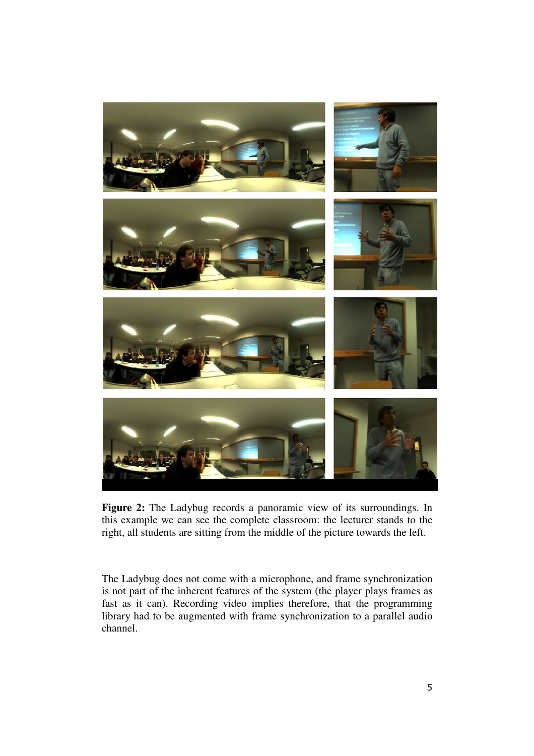

**Figure 2:** The Ladybug records a panoramic view of its surroundings. In this example we can see the complete classroom: the lecturer stands to the right, all students are sitting from the middle of the picture towards the left.

The Ladybug does not come with a microphone, and frame synchronization is not part of the inherent features of the system (the player plays frames as fast as it can). Recording video implies therefore, that the programming library had to be augmented with frame synchronization to a parallel audio channel.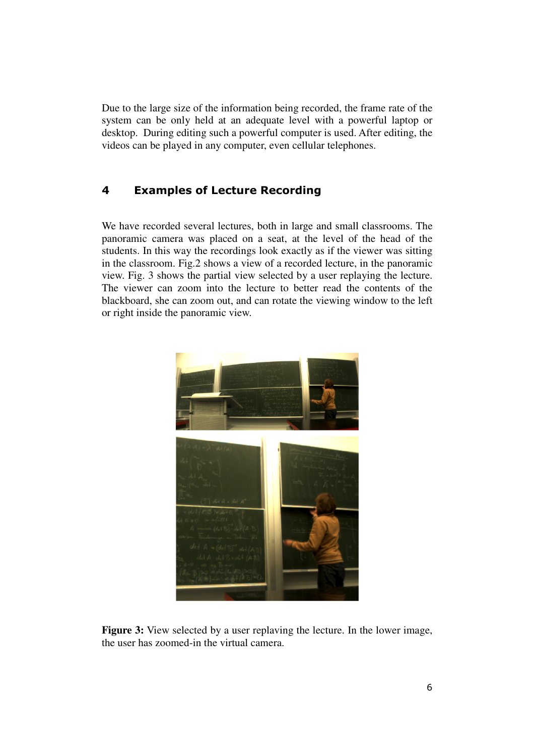Due to the large size of the information being recorded, the frame rate of the system can be only held at an adequate level with a powerful laptop or desktop. During editing such a powerful computer is used. After editing, the videos can be played in any computer, even cellular telephones.

# 4 Examples of Lecture Recording

We have recorded several lectures, both in large and small classrooms. The panoramic camera was placed on a seat, at the level of the head of the students. In this way the recordings look exactly as if the viewer was sitting in the classroom. Fig.2 shows a view of a recorded lecture, in the panoramic view. Fig. 3 shows the partial view selected by a user replaying the lecture. The viewer can zoom into the lecture to better read the contents of the blackboard, she can zoom out, and can rotate the viewing window to the left or right inside the panoramic view.



**Figure 3:** View selected by a user replaving the lecture. In the lower image, the user has zoomed-in the virtual camera.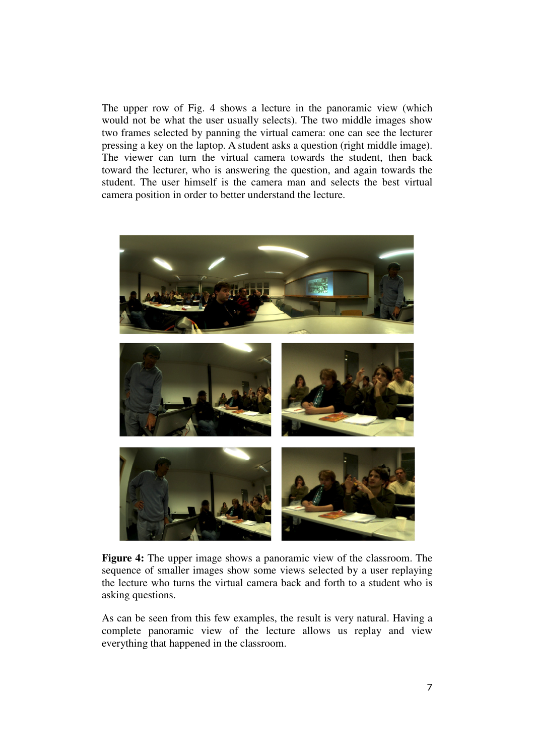The upper row of Fig. 4 shows a lecture in the panoramic view (which would not be what the user usually selects). The two middle images show two frames selected by panning the virtual camera: one can see the lecturer pressing a key on the laptop. A student asks a question (right middle image). The viewer can turn the virtual camera towards the student, then back toward the lecturer, who is answering the question, and again towards the student. The user himself is the camera man and selects the best virtual camera position in order to better understand the lecture.



**Figure 4:** The upper image shows a panoramic view of the classroom. The sequence of smaller images show some views selected by a user replaying the lecture who turns the virtual camera back and forth to a student who is asking questions.

As can be seen from this few examples, the result is very natural. Having a complete panoramic view of the lecture allows us replay and view everything that happened in the classroom.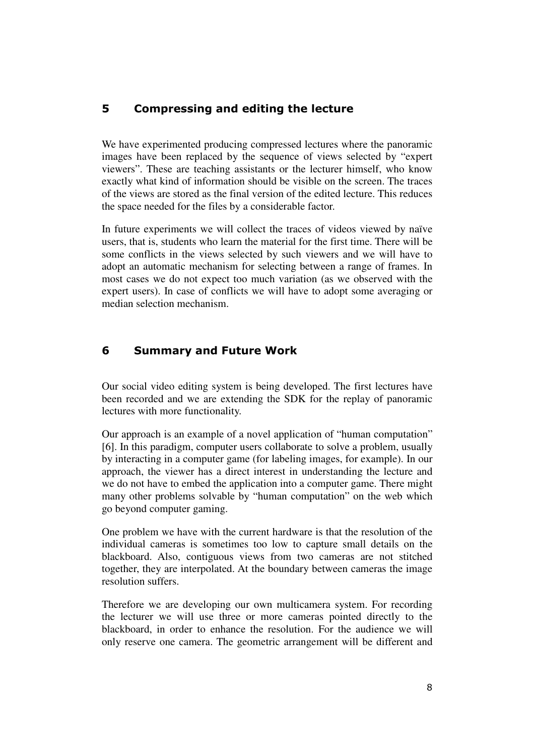### 5 Compressing and editing the lecture

We have experimented producing compressed lectures where the panoramic images have been replaced by the sequence of views selected by "expert viewers". These are teaching assistants or the lecturer himself, who know exactly what kind of information should be visible on the screen. The traces of the views are stored as the final version of the edited lecture. This reduces the space needed for the files by a considerable factor.

In future experiments we will collect the traces of videos viewed by naïve users, that is, students who learn the material for the first time. There will be some conflicts in the views selected by such viewers and we will have to adopt an automatic mechanism for selecting between a range of frames. In most cases we do not expect too much variation (as we observed with the expert users). In case of conflicts we will have to adopt some averaging or median selection mechanism.

### 6 Summary and Future Work

Our social video editing system is being developed. The first lectures have been recorded and we are extending the SDK for the replay of panoramic lectures with more functionality.

Our approach is an example of a novel application of "human computation" [6]. In this paradigm, computer users collaborate to solve a problem, usually by interacting in a computer game (for labeling images, for example). In our approach, the viewer has a direct interest in understanding the lecture and we do not have to embed the application into a computer game. There might many other problems solvable by "human computation" on the web which go beyond computer gaming.

One problem we have with the current hardware is that the resolution of the individual cameras is sometimes too low to capture small details on the blackboard. Also, contiguous views from two cameras are not stitched together, they are interpolated. At the boundary between cameras the image resolution suffers.

Therefore we are developing our own multicamera system. For recording the lecturer we will use three or more cameras pointed directly to the blackboard, in order to enhance the resolution. For the audience we will only reserve one camera. The geometric arrangement will be different and